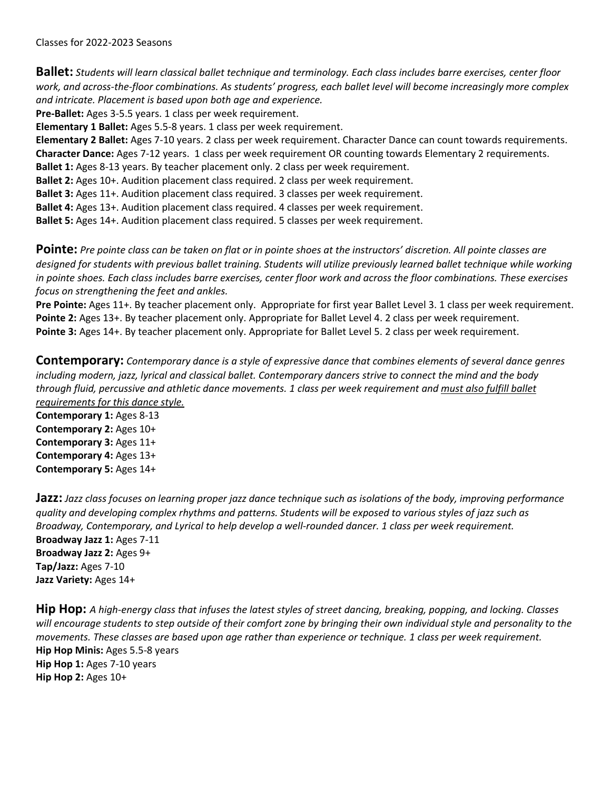Classes for 2022-2023 Seasons

**Ballet:** *Students will learn classical ballet technique and terminology. Each class includes barre exercises, center floor work, and across-the-floor combinations. As students' progress, each ballet level will become increasingly more complex and intricate. Placement is based upon both age and experience.*

**Pre-Ballet:** Ages 3-5.5 years. 1 class per week requirement.

**Elementary 1 Ballet:** Ages 5.5-8 years. 1 class per week requirement.

**Elementary 2 Ballet:** Ages 7-10 years. 2 class per week requirement. Character Dance can count towards requirements. **Character Dance:** Ages 7-12 years. 1 class per week requirement OR counting towards Elementary 2 requirements.

**Ballet 1:** Ages 8-13 years. By teacher placement only. 2 class per week requirement.

**Ballet 2:** Ages 10+. Audition placement class required. 2 class per week requirement.

**Ballet 3:** Ages 11+. Audition placement class required. 3 classes per week requirement.

**Ballet 4:** Ages 13+. Audition placement class required. 4 classes per week requirement.

**Ballet 5:** Ages 14+. Audition placement class required. 5 classes per week requirement.

**Pointe:** Pre pointe class can be taken on flat or in pointe shoes at the instructors' discretion. All pointe classes are *designed for students with previous ballet training. Students will utilize previously learned ballet technique while working in pointe shoes. Each class includes barre exercises, center floor work and across the floor combinations. These exercises focus on strengthening the feet and ankles.*

**Pre Pointe:** Ages 11+. By teacher placement only. Appropriate for first year Ballet Level 3. 1 class per week requirement. **Pointe 2:** Ages 13+. By teacher placement only. Appropriate for Ballet Level 4. 2 class per week requirement. **Pointe 3:** Ages 14+. By teacher placement only. Appropriate for Ballet Level 5. 2 class per week requirement.

**Contemporary:** *Contemporary dance is a style of expressive dance that combines elements of several dance genres including modern, jazz, lyrical and classical ballet. Contemporary dancers strive to connect the mind and the body through fluid, percussive and athletic dance movements. 1 class per week requirement and must also fulfill ballet requirements for this dance style.*

**Contemporary 1:** Ages 8-13 **Contemporary 2:** Ages 10+ **Contemporary 3:** Ages 11+ **Contemporary 4:** Ages 13+ **Contemporary 5:** Ages 14+

**Jazz:** *Jazz class focuses on learning proper jazz dance technique such as isolations of the body, improving performance quality and developing complex rhythms and patterns. Students will be exposed to various styles of jazz such as Broadway, Contemporary, and Lyrical to help develop a well-rounded dancer. 1 class per week requirement.* **Broadway Jazz 1:** Ages 7-11 **Broadway Jazz 2:** Ages 9+ **Tap/Jazz:** Ages 7-10 **Jazz Variety:** Ages 14+

**Hip Hop:** *A high-energy class that infuses the latest styles of street dancing, breaking, popping, and locking. Classes will encourage students to step outside of their comfort zone by bringing their own individual style and personality to the movements. These classes are based upon age rather than experience or technique. 1 class per week requirement.* **Hip Hop Minis:** Ages 5.5-8 years **Hip Hop 1:** Ages 7-10 years **Hip Hop 2:** Ages 10+